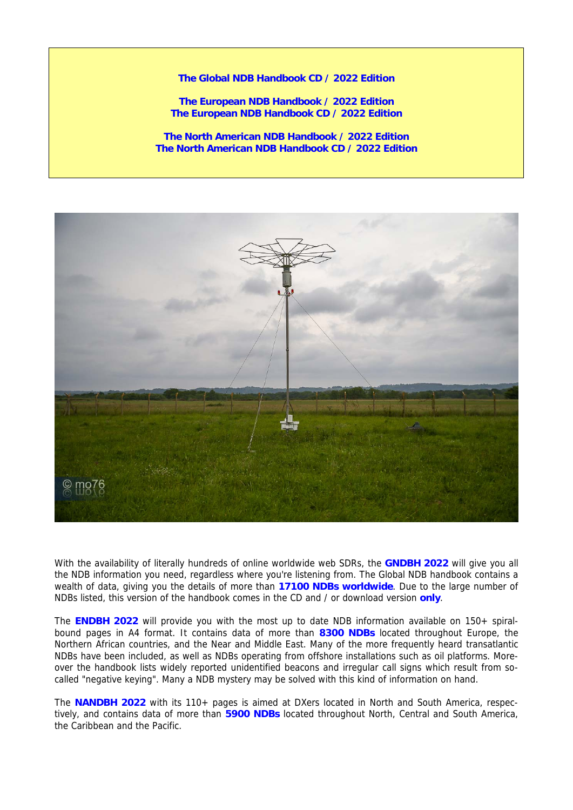**The Global NDB Handbook CD / 2022 Edition** 

**The European NDB Handbook / 2022 Edition The European NDB Handbook CD / 2022 Edition** 

**The North American NDB Handbook / 2022 Edition The North American NDB Handbook CD / 2022 Edition** 



With the availability of literally hundreds of online worldwide web SDRs, the **GNDBH 2022** will give you all the NDB information you need, regardless where you're listening from. The Global NDB handbook contains a wealth of data, giving you the details of more than **17100 NDBs worldwide**. Due to the large number of NDBs listed, this version of the handbook comes in the CD and / or download version **only**.

The **ENDBH 2022** will provide you with the most up to date NDB information available on 150+ spiralbound pages in A4 format. It contains data of more than **8300 NDBs** located throughout Europe, the Northern African countries, and the Near and Middle East. Many of the more frequently heard transatlantic NDBs have been included, as well as NDBs operating from offshore installations such as oil platforms. Moreover the handbook lists widely reported unidentified beacons and irregular call signs which result from socalled "negative keying". Many a NDB mystery may be solved with this kind of information on hand.

The **NANDBH 2022** with its 110+ pages is aimed at DXers located in North and South America, respectively, and contains data of more than **5900 NDBs** located throughout North, Central and South America, the Caribbean and the Pacific.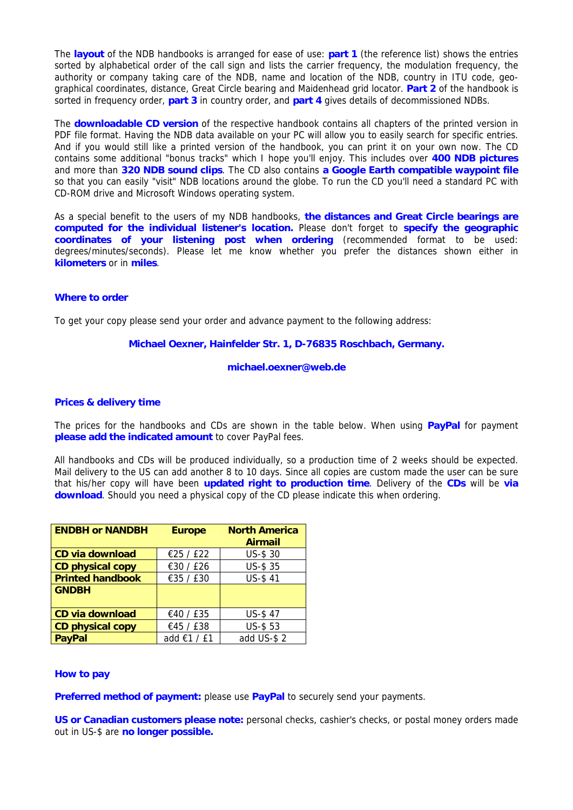The **layout** of the NDB handbooks is arranged for ease of use: **part 1** (the reference list) shows the entries sorted by alphabetical order of the call sign and lists the carrier frequency, the modulation frequency, the authority or company taking care of the NDB, name and location of the NDB, country in ITU code, geographical coordinates, distance, Great Circle bearing and Maidenhead grid locator. **Part 2** of the handbook is sorted in frequency order, **part 3** in country order, and **part 4** gives details of decommissioned NDBs.

The **downloadable CD version** of the respective handbook contains all chapters of the printed version in PDF file format. Having the NDB data available on your PC will allow you to easily search for specific entries. And if you would still like a printed version of the handbook, you can print it on your own now. The CD contains some additional "bonus tracks" which I hope you'll enjoy. This includes over **400 NDB pictures** and more than **320 NDB sound clips**. The CD also contains **a Google Earth compatible waypoint file**  so that you can easily "visit" NDB locations around the globe. To run the CD you'll need a standard PC with CD-ROM drive and Microsoft Windows operating system.

As a special benefit to the users of my NDB handbooks, **the distances and Great Circle bearings are computed for the individual listener's location.** Please don't forget to **specify the geographic coordinates of your listening post when ordering** (recommended format to be used: degrees/minutes/seconds). Please let me know whether you prefer the distances shown either in **kilometers** or in **miles**.

## **Where to order**

To get your copy please send your order and advance payment to the following address:

### **Michael Oexner, Hainfelder Str. 1, D-76835 Roschbach, Germany.**

#### **michael.oexner@web.de**

### **Prices & delivery time**

The prices for the handbooks and CDs are shown in the table below. When using **PayPal** for payment **please add the indicated amount** to cover PayPal fees.

All handbooks and CDs will be produced individually, so a production time of 2 weeks should be expected. Mail delivery to the US can add another 8 to 10 days. Since all copies are custom made the user can be sure that his/her copy will have been **updated right to production time**. Delivery of the **CDs** will be **via download**. Should you need a physical copy of the CD please indicate this when ordering.

| <b>ENDBH or NANDBH</b>  | <b>Europe</b> | <b>North America</b> |  |  |  |  |
|-------------------------|---------------|----------------------|--|--|--|--|
|                         |               | <b>Airmail</b>       |  |  |  |  |
| <b>CD via download</b>  | €25 / £22     | US-\$ 30             |  |  |  |  |
| <b>CD physical copy</b> | €30 / £26     | <b>US-\$35</b>       |  |  |  |  |
| <b>Printed handbook</b> | €35 / £30     | <b>US-\$41</b>       |  |  |  |  |
| <b>GNDBH</b>            |               |                      |  |  |  |  |
|                         |               |                      |  |  |  |  |
| CD via download         | €40 / £35     | <b>US-\$47</b>       |  |  |  |  |
| <b>CD physical copy</b> | €45 / £38     | <b>US-\$53</b>       |  |  |  |  |
| <b>PavPal</b>           | add €1 / £1   | add US-\$2           |  |  |  |  |

### **How to pay**

**Preferred method of payment:** please use **PayPal** to securely send your payments.

**US or Canadian customers please note:** personal checks, cashier's checks, or postal money orders made out in US-\$ are **no longer possible.**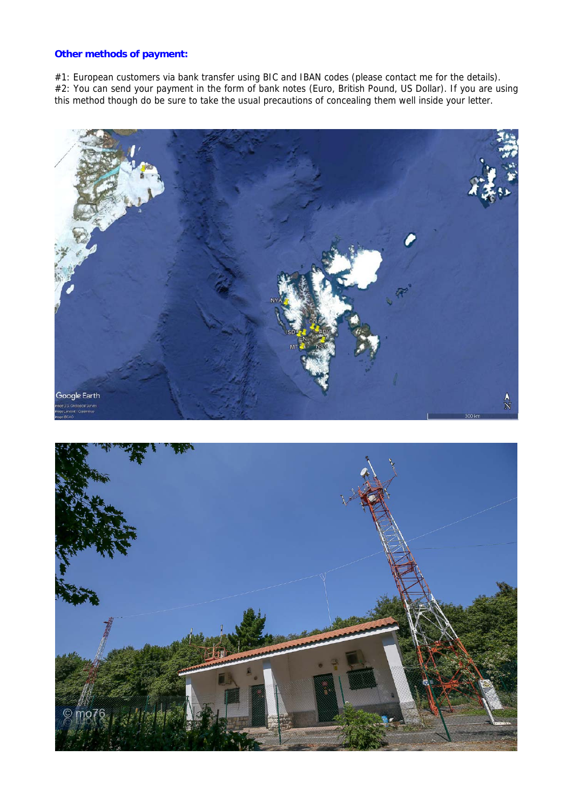# **Other methods of payment:**

#1: European customers via bank transfer using BIC and IBAN codes (please contact me for the details). #2: You can send your payment in the form of bank notes (Euro, British Pound, US Dollar). If you are using this method though do be sure to take the usual precautions of concealing them well inside your letter.



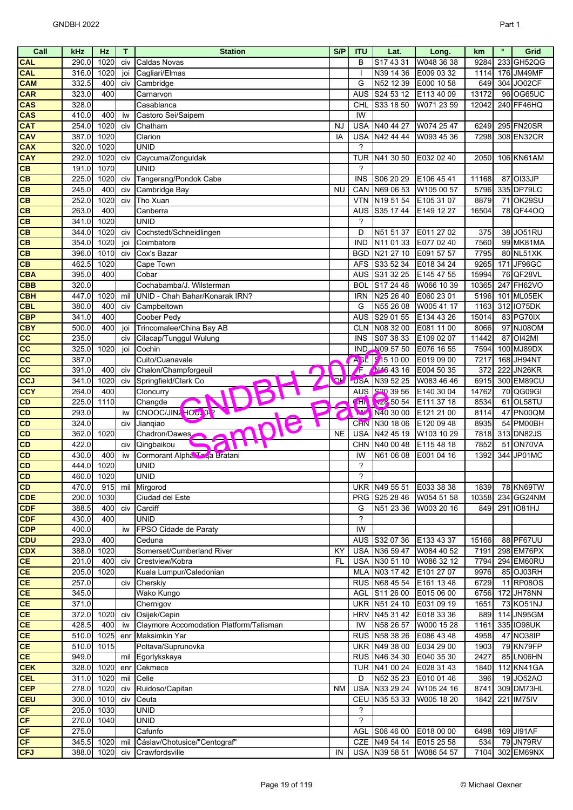| Call                     | kHz            | Hz                 | T   | <b>Station</b>                          | S/P       | <b>ITU</b>               | Lat.                               | Long.                    | km            | $\bullet$ | Grid                    |
|--------------------------|----------------|--------------------|-----|-----------------------------------------|-----------|--------------------------|------------------------------------|--------------------------|---------------|-----------|-------------------------|
| CAL                      | 290.0          | 1020               | civ | <b>Caldas Novas</b>                     |           | B                        | S17 43 31                          | W048 36 38               | 9284          | 233       | GH52QG                  |
| <b>CAL</b>               | 316.0          | 1020               | joi | Cagliari/Elmas                          |           |                          | N39 14 36                          | E009 03 32               | 1114          |           | 176 JM49MF              |
| <b>CAM</b>               | 332.5          | 400                | civ | Cambridge                               |           | G                        | N52 12 39                          | E000 10 58               | 649           |           | 304 JO02CF              |
| <b>CAR</b>               | 323.0          | 400                |     | Carnarvon                               |           | <b>AUS</b>               | S24 53 12                          | E113 40 09               | 13172         |           | 96 OG65UC               |
| CAS                      | 328.0          |                    |     | Casablanca                              |           | CHL                      | S33 18 50                          | W071 23 59               | 12042         |           | 240 FF46HQ              |
| CAS                      | 410.0          | 400                | iw  | Castoro Sei/Saipem                      |           | IW                       |                                    |                          |               |           |                         |
| <b>CAT</b>               | 254.0          | 1020               | civ | Chatham                                 | NJ        | <b>USA</b>               | N40 44 27                          | W074 25 47               | 6249          |           | 295 FN20SR              |
| CAV                      | 387.0          | 1020               |     | Clarion                                 | IA        | <b>USA</b>               | N42 44 44                          | W093 45 36               | 7298          |           | 308 EN32CR              |
| <b>CAX</b>               | 320.0          | 1020               |     | <b>UNID</b>                             |           | $\boldsymbol{\gamma}$    |                                    |                          |               |           |                         |
| <b>CAY</b>               | 292.0          | 1020               | civ | Caycuma/Zonguldak                       |           | <b>TUR</b>               | N41 30 50                          | E032 02 40               | 2050          |           | 106 KN61AM              |
| CB                       | 191.0          | 1070               |     | <b>UNID</b>                             |           | ?                        |                                    |                          |               |           |                         |
| CB                       | 225.0          | 1020               | civ | Tangerang/Pondok Cabe                   |           | <b>INS</b>               | S06 20 29                          | E106 45 41               | 11168         | 87        | OI33JP                  |
| CB                       | 245.0          | 400                | civ | Cambridge Bay                           | <b>NU</b> | CAN                      | N69 06 53                          | W105 00 57               | 5796          |           | 335 DP79LC              |
| CB                       | 252.0          | 1020               | civ | Tho Xuan                                |           | <b>VTN</b>               | N19 51 54                          | E105 31 07               | 8879          |           | <b>71 OK29SU</b>        |
| CB                       | 263.0          | 400                |     | Canberra                                |           | <b>AUS</b>               | S35 17 44                          | E149 12 27               | 16504         |           | 78 QF44OQ               |
| CB                       | 341.0          | 1020               |     | <b>UNID</b>                             |           | ?                        |                                    |                          |               |           |                         |
| CB                       | 344.0          | 1020               | civ | Cochstedt/Schneidlingen                 |           | D                        | N51 51 37                          | E011 27 02               | 375           |           | 38 JO51RU               |
| CB                       | 354.0          | 1020               | joi | Coimbatore                              |           | <b>IND</b>               | N11 01 33                          | E077 02 40               | 7560          |           | 99 MK81MA               |
| CB                       | 396.0          | 1010               | civ | Cox's Bazar                             |           | <b>BGD</b>               | N21 27 10                          | E091 57 57               | 7795          |           | 80 NL51XK               |
| CB                       | 462.5          | 1020               |     | Cape Town                               |           | <b>AFS</b>               | S33 52 34                          | E018 34 24               | 9265          |           | 171 JF96GC              |
| <b>CBA</b>               | 395.0          | 400                |     | Cobar                                   |           | <b>AUS</b>               | S31 32 25                          | E145 47 55               | 15994         |           | 76 QF28VL               |
| CBB                      | 320.0          |                    |     | Cochabamba/J. Wilsterman                |           | <b>BOL</b>               | S17 24 48                          | W066 10 39               | 10365         |           | 247 FH62VO              |
| <b>CBH</b>               | 447.0          | 1020               | mil | UNID - Chah Bahar/Konarak IRN?          |           | <b>IRN</b>               | N25 26 40                          | E060 23 01               | 5196          | 101       | ML05EK                  |
| <b>CBL</b>               | 380.0          | 400                | civ | Campbeltown                             |           | G                        | N55 26 08                          | W005 41 17               | 1163          |           | 312 IO75DK              |
| <b>CBP</b>               | 341.0          | 400                |     | Coober Pedy                             |           | <b>AUS</b>               | S29 01 55                          | E134 43 26               | 15014         |           | 83 PG70IX               |
| <b>CBY</b>               | 500.0          | 400                | joi | Trincomalee/China Bay AB                |           | <b>CLN</b>               | N08 32 00                          | E081 11 00               | 8066          |           | 97 NJ08OM               |
| cc                       | 235.0          |                    | civ | Cilacap/Tunggul Wulung                  |           | <b>INS</b>               | S07 38 33                          | E109 02 07               | 11442         | 87        | <b>OI42MI</b>           |
| cc                       | 325.0          | 1020               | joi | Cochin                                  |           |                          | IND N09 57 50                      | E076 16 55               | 7594          |           | 100 MJ89DX              |
| cc                       | 387.0          |                    |     | Cuito/Cuanavale                         |           |                          | A <sub>BL</sub> 315 10 00          | E019 09 00               | 7217          |           | 168 JH94NT              |
|                          | 391.0          | 400                |     | Chalon/Champforgeuil                    |           | Æ                        | N464316                            | E004 50 35               | 372           | 222       | JN26KR                  |
| cc                       | 341.0          | 1020               | civ |                                         | <b>P</b>  |                          |                                    |                          |               |           | 300 EM89CU              |
| <b>CCJ</b><br><b>CCY</b> |                | 400                | civ | Springfield/Clark Co                    |           | <b>USA</b><br><b>AUS</b> | N39 52 25<br>S <sub>20</sub> 39 56 | W083 46 46               | 6915<br>14762 |           |                         |
|                          | 264.0<br>225.0 |                    |     | Cloncurry                               |           | <b>GH</b>                | $x^2$ 50 54                        | E140 30 04<br>E111 37 18 | 8534          |           | 70 QG09GI<br>61 OL58TU  |
| CD                       | 293.0          | 1110               |     | Changde<br>CNOOC/JINZ HOUZ 0-2          |           | $7\overline{v}$          | N40 30 00                          | E121 21 00               | 8114          |           | 47 PN00QM               |
| CD                       |                |                    | iw  |                                         |           |                          |                                    | E120 09 48               | 8935          |           |                         |
| CD<br>$\overline{CD}$    | 324.0<br>362.0 | 1020               | civ | Jianqiao                                | <b>NE</b> | <b>CHN</b><br><b>USA</b> | N30 18 06<br>N42 45 19             | W103 10 29               |               |           | 54 PM00BH               |
|                          |                |                    |     | Chadron/Dawes                           |           |                          | N40 00 48                          |                          | 7818          |           | 313 DN82JS              |
| CD                       | 422.0          |                    | civ | Qingbaikou                              |           | CHN                      |                                    | E115 48 18               | 7852          | 51        | ON70VA                  |
| CD                       | 430.0          | 400                | iw  | Cormorant Alpha. To a Bratani           |           | IW                       | N61 06 08                          | E001 04 16               | 1392          | 344       | JP01MC                  |
| CD                       | 444.0          | 1020<br>460.0 1020 |     | <b>UNID</b>                             |           | $\overline{\phantom{a}}$ |                                    |                          |               |           |                         |
| CD                       |                |                    |     | <b>UNID</b>                             |           | $\overline{\phantom{a}}$ |                                    |                          |               |           |                         |
| CD                       | 470.0          | 915 mil            |     | Mirgorod                                |           |                          | UKR N49 55 51                      | E033 38 38               | 1839          |           | 78 KN69TW               |
| CDE                      | 200.0          | 1030               |     | Ciudad del Este                         |           |                          | PRG S25 28 46                      | W054 51 58               | 10358         | 234       | GG24NM                  |
| <b>CDF</b>               | 388.5          | 400                | civ | Cardiff                                 |           | G<br>?                   | N51 23 36                          | W003 20 16               | 849           |           | 291 IO81HJ              |
| CDF                      | 430.0          | 400                |     | <b>UNID</b>                             |           | IW                       |                                    |                          |               |           |                         |
| <b>CDP</b>               | 400.0          |                    | iw  | FPSO Cidade de Paraty                   |           |                          |                                    |                          |               |           |                         |
| <b>CDU</b><br>CDX        | 293.0          | 400<br>1020        |     | Ceduna<br>Somerset/Cumberland River     | KY        | <b>AUS</b><br><b>USA</b> | S32 07 36<br>N36 59 47             | E133 43 37<br>W084 40 52 | 15166<br>7191 |           | 88 PF67UU<br>298 EM76PX |
| <b>CE</b>                | 388.0          | 400                |     | Crestview/Kobra                         | <b>FL</b> | <b>USA</b>               |                                    |                          |               |           | 294 EM60RU              |
| CE                       | 201.0<br>205.0 | 1020               | civ | Kuala Lumpur/Caledonian                 |           |                          | N30 51 10<br>MLA N03 17 42         | W086 32 12<br>E101 27 07 | 7794<br>9976  |           | 85 OJ03RH               |
| <b>CE</b>                |                |                    |     |                                         |           |                          |                                    |                          | 6729          |           | 11 RP08OS               |
| CE                       | 257.0          |                    | civ | Cherskiy<br>Wako Kungo                  |           |                          | RUS N68 45 54                      | E161 13 48               |               |           |                         |
|                          | 345.0<br>371.0 |                    |     |                                         |           |                          | AGL S11 26 00                      | E015 06 00               | 6756          |           | 172 JH78NN              |
| <b>CE</b>                |                |                    |     | Chernigov                               |           |                          | UKR N51 24 10                      | E031 09 19               | 1651          |           | 73 KO51NJ               |
| <b>CE</b>                | 372.0          | 1020               | civ | Osijek/Cepin                            |           |                          | HRV N45 31 42                      | E018 33 36               | 889           |           | 114 JN95GM              |
| CE                       | 428.5          | 400                | iw  | Claymore Accomodation Platform/Talisman |           | IW                       | N58 26 57                          | W000 15 28               | 1161          |           | 335 IO98UK              |
| CE                       | 510.0          | 1025               | enr | Maksimkin Yar                           |           |                          | RUS N58 38 26                      | E086 43 48               | 4958          |           | 47 NO38IP               |
| CE                       | 510.0          | 1015               |     | Poltava/Suprunovka                      |           |                          | UKR N49 38 00                      | E034 29 00               | 1903          |           | <b>79 KN79FP</b>        |
| CE                       | 949.0          |                    | mil | Egorlykskaya                            |           |                          | RUS N46 34 30                      | E040 35 30               | 2427          |           | 85 LN06HN               |
| <b>CEK</b>               | 328.0          | 1020               | enr | Cekmece                                 |           |                          | TUR N41 00 24                      | E028 31 43               | 1840          |           | 112 KN41GA              |
| <b>CEL</b>               | 311.0          | 1020               | mil | Celle                                   |           | D                        | N52 35 23                          | E010 01 46               | 396           |           | 19 JO52AO               |
| <b>CEP</b>               | 278.0          | 1020               | civ | Ruidoso/Capitan                         | <b>NM</b> | <b>USA</b>               | N33 29 24                          | W105 24 16               | 8741          |           | 309 DM73HL              |
| <b>CEU</b>               | 300.0          | 1010               | civ | Ceuta                                   |           | CEU                      | N35 53 33                          | W005 18 20               | 1842          | 221       | IM75IV                  |
| CF                       | 205.0          | 1030               |     | UNID                                    |           | ?                        |                                    |                          |               |           |                         |
| CF                       | 270.0          | 1040               |     | <b>UNID</b>                             |           | $\overline{\phantom{a}}$ |                                    |                          |               |           |                         |
| <b>CF</b>                | 275.0          |                    |     | Cafunfo                                 |           | AGL                      | S08 46 00                          | E018 00 00               | 6498          |           | 169 JI91AF              |
| CF                       | 345.5          | 1020 mil           |     | Čáslav/Chotusice/"Centograf"            |           |                          | CZE N49 54 14                      | E015 25 58               | 534           |           | 79 JN79RV               |
| <b>CFJ</b>               | 388.0          | 1020 civ           |     | Crawfordsville                          | IN        |                          | USA N39 58 51                      | W086 54 57               | 7104          |           | 302 EM69NX              |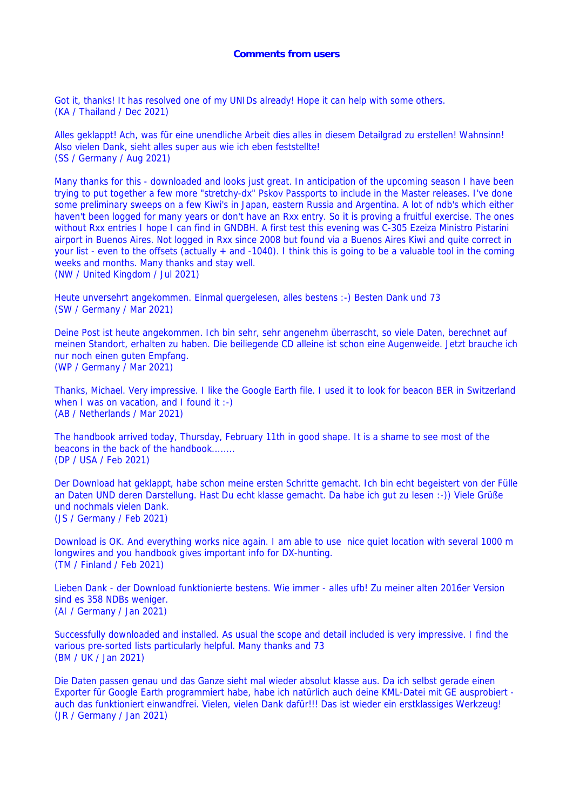Got it, thanks! It has resolved one of my UNIDs already! Hope it can help with some others. (KA / Thailand / Dec 2021)

Alles geklappt! Ach, was für eine unendliche Arbeit dies alles in diesem Detailgrad zu erstellen! Wahnsinn! Also vielen Dank, sieht alles super aus wie ich eben feststellte! (SS / Germany / Aug 2021)

Many thanks for this - downloaded and looks just great. In anticipation of the upcoming season I have been trying to put together a few more "stretchy-dx" Pskov Passports to include in the Master releases. I've done some preliminary sweeps on a few Kiwi's in Japan, eastern Russia and Argentina. A lot of ndb's which either haven't been logged for many years or don't have an Rxx entry. So it is proving a fruitful exercise. The ones without Rxx entries I hope I can find in GNDBH. A first test this evening was C-305 Ezeiza Ministro Pistarini airport in Buenos Aires. Not logged in Rxx since 2008 but found via a Buenos Aires Kiwi and quite correct in your list - even to the offsets (actually + and -1040). I think this is going to be a valuable tool in the coming weeks and months. Many thanks and stay well.

(NW / United Kingdom / Jul 2021)

Heute unversehrt angekommen. Einmal quergelesen, alles bestens :-) Besten Dank und 73 (SW / Germany / Mar 2021)

Deine Post ist heute angekommen. Ich bin sehr, sehr angenehm überrascht, so viele Daten, berechnet auf meinen Standort, erhalten zu haben. Die beiliegende CD alleine ist schon eine Augenweide. Jetzt brauche ich nur noch einen guten Empfang. (WP / Germany / Mar 2021)

Thanks, Michael. Very impressive. I like the Google Earth file. I used it to look for beacon BER in Switzerland when I was on vacation, and I found it :-) (AB / Netherlands / Mar 2021)

The handbook arrived today, Thursday, February 11th in good shape. It is a shame to see most of the beacons in the back of the handbook........ (DP / USA / Feb 2021)

Der Download hat geklappt, habe schon meine ersten Schritte gemacht. Ich bin echt begeistert von der Fülle an Daten UND deren Darstellung. Hast Du echt klasse gemacht. Da habe ich gut zu lesen :-)) Viele Grüße und nochmals vielen Dank. (JS / Germany / Feb 2021)

Download is OK. And everything works nice again. I am able to use nice quiet location with several 1000 m longwires and you handbook gives important info for DX-hunting. (TM / Finland / Feb 2021)

Lieben Dank - der Download funktionierte bestens. Wie immer - alles ufb! Zu meiner alten 2016er Version sind es 358 NDBs weniger. (AI / Germany / Jan 2021)

Successfully downloaded and installed. As usual the scope and detail included is very impressive. I find the various pre-sorted lists particularly helpful. Many thanks and 73 (BM / UK / Jan 2021)

Die Daten passen genau und das Ganze sieht mal wieder absolut klasse aus. Da ich selbst gerade einen Exporter für Google Earth programmiert habe, habe ich natürlich auch deine KML-Datei mit GE ausprobiert auch das funktioniert einwandfrei. Vielen, vielen Dank dafür!!! Das ist wieder ein erstklassiges Werkzeug! (JR / Germany / Jan 2021)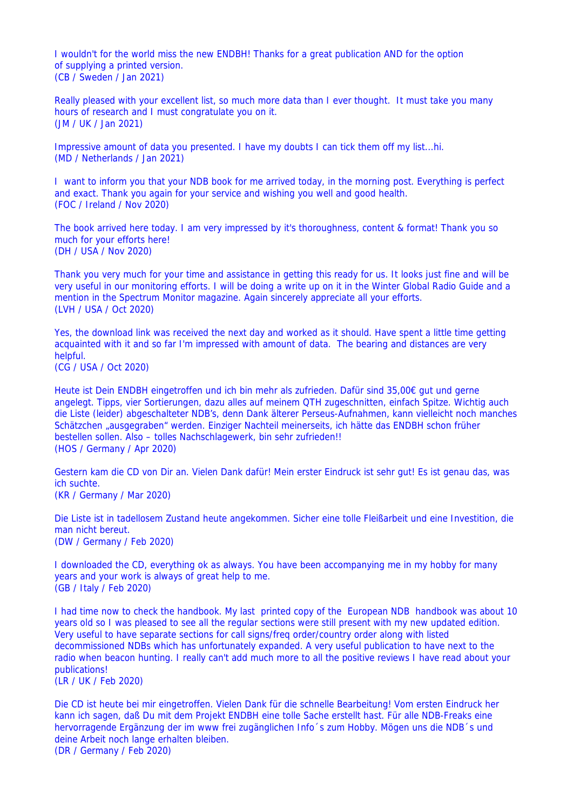I wouldn't for the world miss the new ENDBH! Thanks for a great publication AND for the option of supplying a printed version. (CB / Sweden / Jan 2021)

Really pleased with your excellent list, so much more data than I ever thought. It must take you many hours of research and I must congratulate you on it. (JM / UK / Jan 2021)

Impressive amount of data you presented. I have my doubts I can tick them off my list...hi. (MD / Netherlands / Jan 2021)

I want to inform you that your NDB book for me arrived today, in the morning post. Everything is perfect and exact. Thank you again for your service and wishing you well and good health. (FOC / Ireland / Nov 2020)

The book arrived here today. I am very impressed by it's thoroughness, content & format! Thank you so much for your efforts here! (DH / USA / Nov 2020)

Thank you very much for your time and assistance in getting this ready for us. It looks just fine and will be very useful in our monitoring efforts. I will be doing a write up on it in the Winter Global Radio Guide and a mention in the Spectrum Monitor magazine. Again sincerely appreciate all your efforts. (LVH / USA / Oct 2020)

Yes, the download link was received the next day and worked as it should. Have spent a little time getting acquainted with it and so far I'm impressed with amount of data. The bearing and distances are very helpful. (CG / USA / Oct 2020)

Heute ist Dein ENDBH eingetroffen und ich bin mehr als zufrieden. Dafür sind 35,00€ gut und gerne angelegt. Tipps, vier Sortierungen, dazu alles auf meinem QTH zugeschnitten, einfach Spitze. Wichtig auch die Liste (leider) abgeschalteter NDB's, denn Dank älterer Perseus-Aufnahmen, kann vielleicht noch manches Schätzchen "ausgegraben" werden. Einziger Nachteil meinerseits, ich hätte das ENDBH schon früher bestellen sollen. Also – tolles Nachschlagewerk, bin sehr zufrieden!!

(HOS / Germany / Apr 2020)

Gestern kam die CD von Dir an. Vielen Dank dafür! Mein erster Eindruck ist sehr gut! Es ist genau das, was ich suchte. (KR / Germany / Mar 2020)

Die Liste ist in tadellosem Zustand heute angekommen. Sicher eine tolle Fleißarbeit und eine Investition, die man nicht bereut. (DW / Germany / Feb 2020)

I downloaded the CD, everything ok as always. You have been accompanying me in my hobby for many years and your work is always of great help to me. (GB / Italy / Feb 2020)

I had time now to check the handbook. My last printed copy of the European NDB handbook was about 10 years old so I was pleased to see all the regular sections were still present with my new updated edition. Very useful to have separate sections for call signs/freq order/country order along with listed decommissioned NDBs which has unfortunately expanded. A very useful publication to have next to the radio when beacon hunting. I really can't add much more to all the positive reviews I have read about your publications!

(LR / UK / Feb 2020)

Die CD ist heute bei mir eingetroffen. Vielen Dank für die schnelle Bearbeitung! Vom ersten Eindruck her kann ich sagen, daß Du mit dem Projekt ENDBH eine tolle Sache erstellt hast. Für alle NDB-Freaks eine hervorragende Ergänzung der im www frei zugänglichen Info´s zum Hobby. Mögen uns die NDB´s und deine Arbeit noch lange erhalten bleiben. (DR / Germany / Feb 2020)